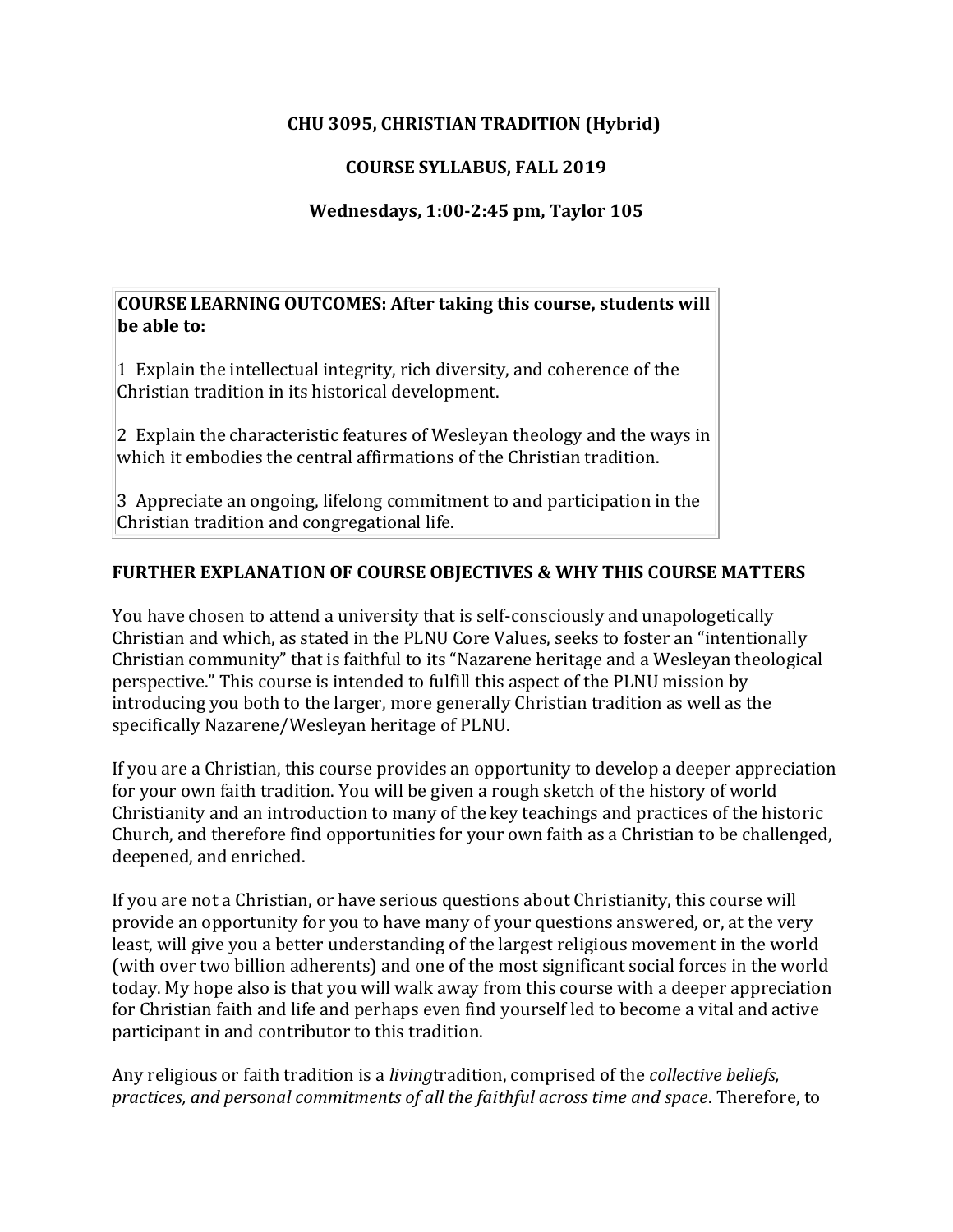## **CHU 3095, CHRISTIAN TRADITION (Hybrid)**

# **COURSE SYLLABUS, FALL 2019**

## **Wednesdays, 1:00-2:45 pm, Taylor 105**

**COURSE LEARNING OUTCOMES: After taking this course, students will be able to:**

1 Explain the intellectual integrity, rich diversity, and coherence of the Christian tradition in its historical development.

2 Explain the characteristic features of Wesleyan theology and the ways in which it embodies the central affirmations of the Christian tradition.

3 Appreciate an ongoing, lifelong commitment to and participation in the Christian tradition and congregational life.

## **FURTHER EXPLANATION OF COURSE OBJECTIVES & WHY THIS COURSE MATTERS**

You have chosen to attend a university that is self-consciously and unapologetically Christian and which, as stated in the PLNU Core Values, seeks to foster an "intentionally Christian community" that is faithful to its "Nazarene heritage and a Wesleyan theological perspective." This course is intended to fulfill this aspect of the PLNU mission by introducing you both to the larger, more generally Christian tradition as well as the specifically Nazarene/Wesleyan heritage of PLNU.

If you are a Christian, this course provides an opportunity to develop a deeper appreciation for your own faith tradition. You will be given a rough sketch of the history of world Christianity and an introduction to many of the key teachings and practices of the historic Church, and therefore find opportunities for your own faith as a Christian to be challenged, deepened, and enriched.

If you are not a Christian, or have serious questions about Christianity, this course will provide an opportunity for you to have many of your questions answered, or, at the very least, will give you a better understanding of the largest religious movement in the world (with over two billion adherents) and one of the most significant social forces in the world today. My hope also is that you will walk away from this course with a deeper appreciation for Christian faith and life and perhaps even find yourself led to become a vital and active participant in and contributor to this tradition.

Any religious or faith tradition is a *living*tradition, comprised of the *collective beliefs, practices, and personal commitments of all the faithful across time and space*. Therefore, to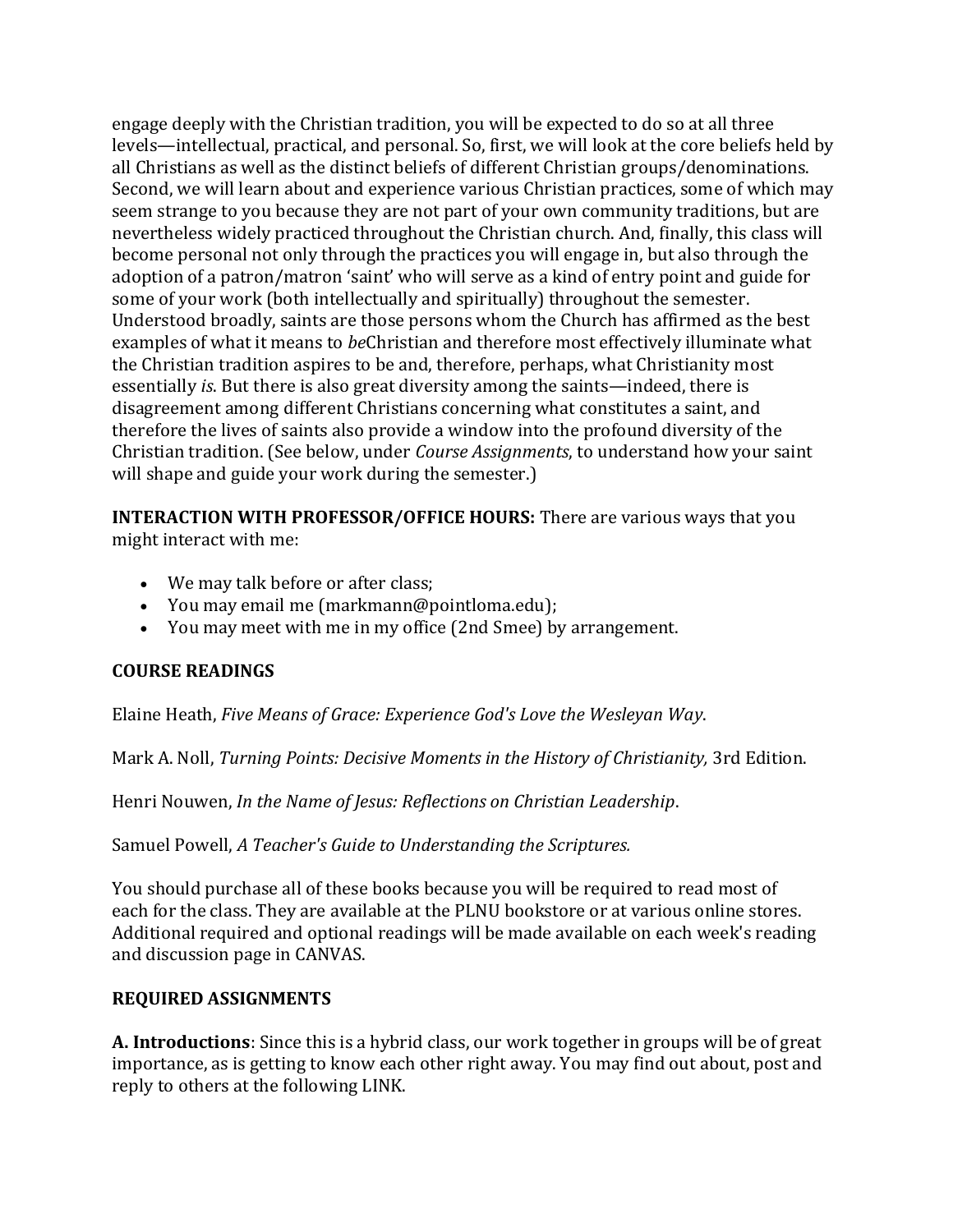engage deeply with the Christian tradition, you will be expected to do so at all three levels—intellectual, practical, and personal. So, first, we will look at the core beliefs held by all Christians as well as the distinct beliefs of different Christian groups/denominations. Second, we will learn about and experience various Christian practices, some of which may seem strange to you because they are not part of your own community traditions, but are nevertheless widely practiced throughout the Christian church. And, finally, this class will become personal not only through the practices you will engage in, but also through the adoption of a patron/matron 'saint' who will serve as a kind of entry point and guide for some of your work (both intellectually and spiritually) throughout the semester. Understood broadly, saints are those persons whom the Church has affirmed as the best examples of what it means to *be*Christian and therefore most effectively illuminate what the Christian tradition aspires to be and, therefore, perhaps, what Christianity most essentially *is*. But there is also great diversity among the saints—indeed, there is disagreement among different Christians concerning what constitutes a saint, and therefore the lives of saints also provide a window into the profound diversity of the Christian tradition. (See below, under *Course Assignments*, to understand how your saint will shape and guide your work during the semester.)

**INTERACTION WITH PROFESSOR/OFFICE HOURS:** There are various ways that you might interact with me:

- We may talk before or after class;
- You may email me (markmann@pointloma.edu);
- You may meet with me in my office (2nd Smee) by arrangement.

#### **COURSE READINGS**

Elaine Heath, *Five Means of Grace: Experience God's Love the Wesleyan Way*.

Mark A. Noll, *Turning Points: Decisive Moments in the History of Christianity,* 3rd Edition.

Henri Nouwen, *In the Name of Jesus: Reflections on Christian Leadership*.

Samuel Powell, *A Teacher's Guide to Understanding the Scriptures.*

You should purchase all of these books because you will be required to read most of each for the class. They are available at the PLNU bookstore or at various online stores. Additional required and optional readings will be made available on each week's reading and discussion page in CANVAS.

#### **REQUIRED ASSIGNMENTS**

**A. Introductions**: Since this is a hybrid class, our work together in groups will be of great importance, as is getting to know each other right away. You may find out about, post and reply to others at the following LINK.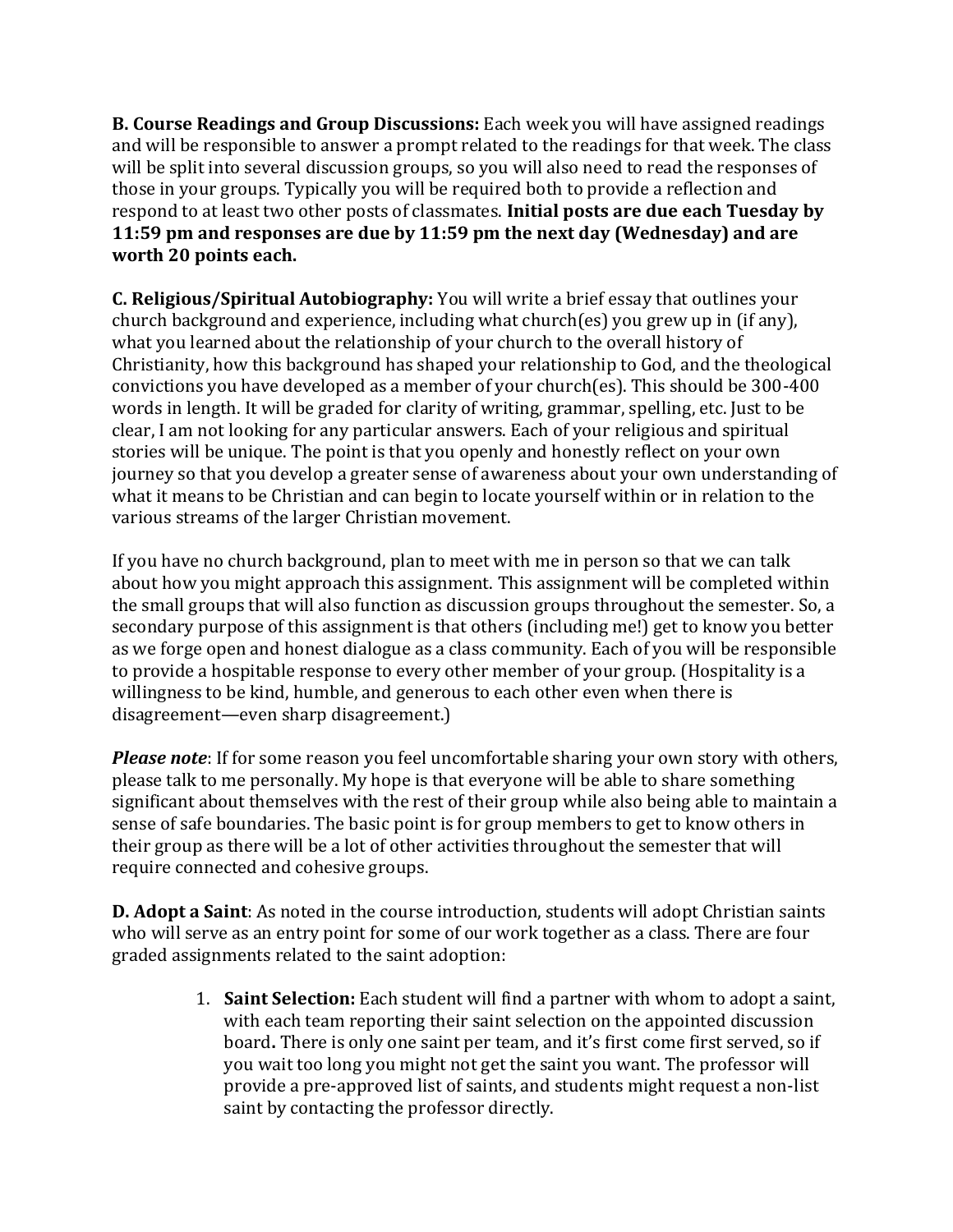**B. Course Readings and Group Discussions:** Each week you will have assigned readings and will be responsible to answer a prompt related to the readings for that week. The class will be split into several discussion groups, so you will also need to read the responses of those in your groups. Typically you will be required both to provide a reflection and respond to at least two other posts of classmates. **Initial posts are due each Tuesday by 11:59 pm and responses are due by 11:59 pm the next day (Wednesday) and are worth 20 points each.**

**C. Religious/Spiritual Autobiography:** You will write a brief essay that outlines your church background and experience, including what church(es) you grew up in (if any), what you learned about the relationship of your church to the overall history of Christianity, how this background has shaped your relationship to God, and the theological convictions you have developed as a member of your church(es). This should be 300-400 words in length. It will be graded for clarity of writing, grammar, spelling, etc. Just to be clear, I am not looking for any particular answers. Each of your religious and spiritual stories will be unique. The point is that you openly and honestly reflect on your own journey so that you develop a greater sense of awareness about your own understanding of what it means to be Christian and can begin to locate yourself within or in relation to the various streams of the larger Christian movement.

If you have no church background, plan to meet with me in person so that we can talk about how you might approach this assignment. This assignment will be completed within the small groups that will also function as discussion groups throughout the semester. So, a secondary purpose of this assignment is that others (including me!) get to know you better as we forge open and honest dialogue as a class community. Each of you will be responsible to provide a hospitable response to every other member of your group. (Hospitality is a willingness to be kind, humble, and generous to each other even when there is disagreement—even sharp disagreement.)

*Please note*: If for some reason you feel uncomfortable sharing your own story with others, please talk to me personally. My hope is that everyone will be able to share something significant about themselves with the rest of their group while also being able to maintain a sense of safe boundaries. The basic point is for group members to get to know others in their group as there will be a lot of other activities throughout the semester that will require connected and cohesive groups.

**D. Adopt a Saint**: As noted in the course introduction, students will adopt Christian saints who will serve as an entry point for some of our work together as a class. There are four graded assignments related to the saint adoption:

> 1. **Saint Selection:** Each student will find a partner with whom to adopt a saint, with each team reporting their saint selection on the appointed discussion board**.** There is only one saint per team, and it's first come first served, so if you wait too long you might not get the saint you want. The professor will provide a pre-approved list of saints, and students might request a non-list saint by contacting the professor directly.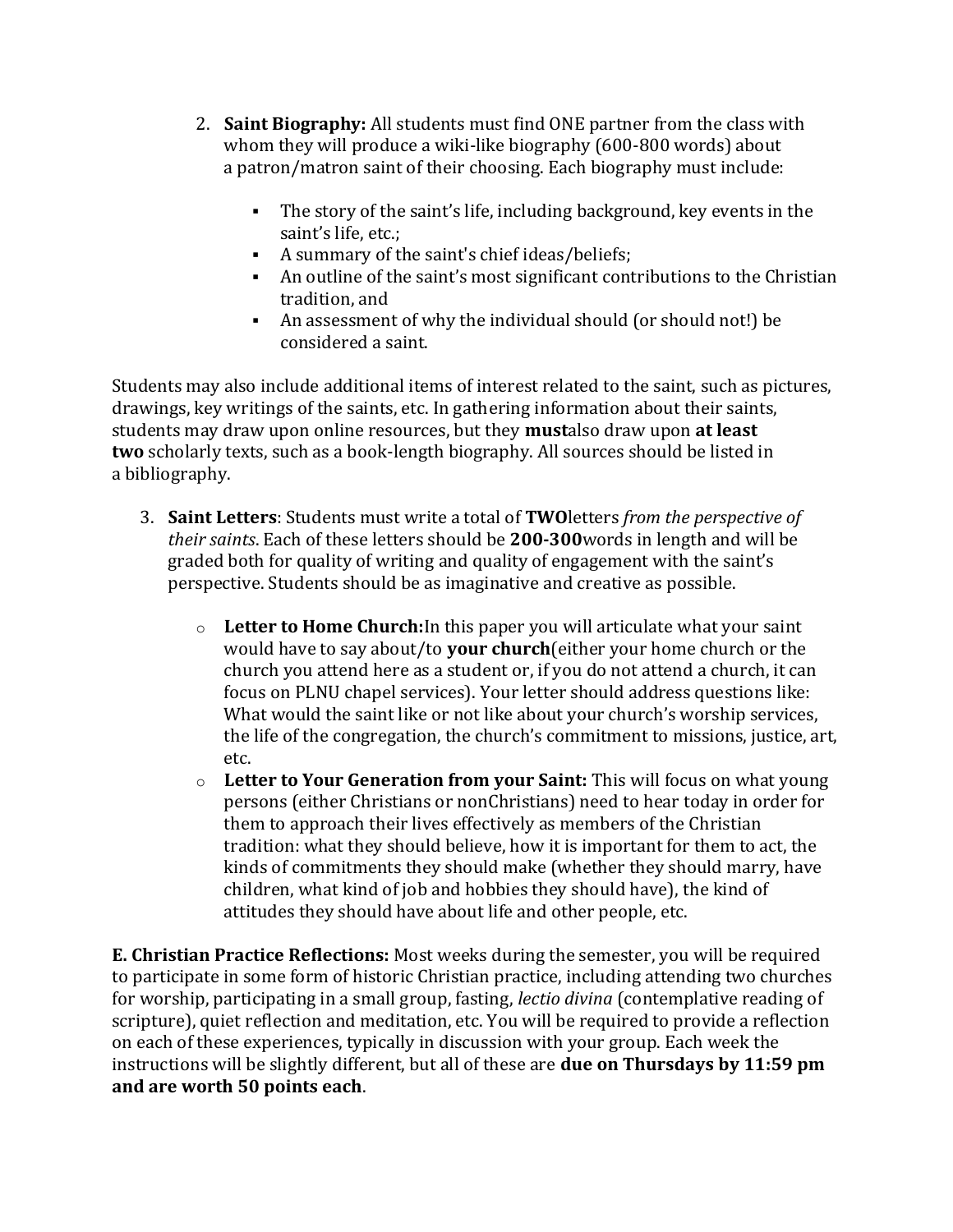- 2. **Saint Biography:** All students must find ONE partner from the class with whom they will produce a wiki-like biography (600-800 words) about a patron/matron saint of their choosing. Each biography must include:
	- The story of the saint's life, including background, key events in the saint's life, etc.;
	- A summary of the saint's chief ideas/beliefs;
	- An outline of the saint's most significant contributions to the Christian tradition, and
	- An assessment of why the individual should (or should not!) be considered a saint.

Students may also include additional items of interest related to the saint, such as pictures, drawings, key writings of the saints, etc. In gathering information about their saints, students may draw upon online resources, but they **must**also draw upon **at least two** scholarly texts, such as a book-length biography. All sources should be listed in a bibliography.

- 3. **Saint Letters**: Students must write a total of **TWO**letters *from the perspective of their saints*. Each of these letters should be **200-300**words in length and will be graded both for quality of writing and quality of engagement with the saint's perspective. Students should be as imaginative and creative as possible.
	- o **Letter to Home Church:**In this paper you will articulate what your saint would have to say about/to **your church**(either your home church or the church you attend here as a student or, if you do not attend a church, it can focus on PLNU chapel services). Your letter should address questions like: What would the saint like or not like about your church's worship services, the life of the congregation, the church's commitment to missions, justice, art, etc.
	- o **Letter to Your Generation from your Saint:** This will focus on what young persons (either Christians or nonChristians) need to hear today in order for them to approach their lives effectively as members of the Christian tradition: what they should believe, how it is important for them to act, the kinds of commitments they should make (whether they should marry, have children, what kind of job and hobbies they should have), the kind of attitudes they should have about life and other people, etc.

**E. Christian Practice Reflections:** Most weeks during the semester, you will be required to participate in some form of historic Christian practice, including attending two churches for worship, participating in a small group, fasting, *lectio divina* (contemplative reading of scripture), quiet reflection and meditation, etc. You will be required to provide a reflection on each of these experiences, typically in discussion with your group. Each week the instructions will be slightly different, but all of these are **due on Thursdays by 11:59 pm and are worth 50 points each**.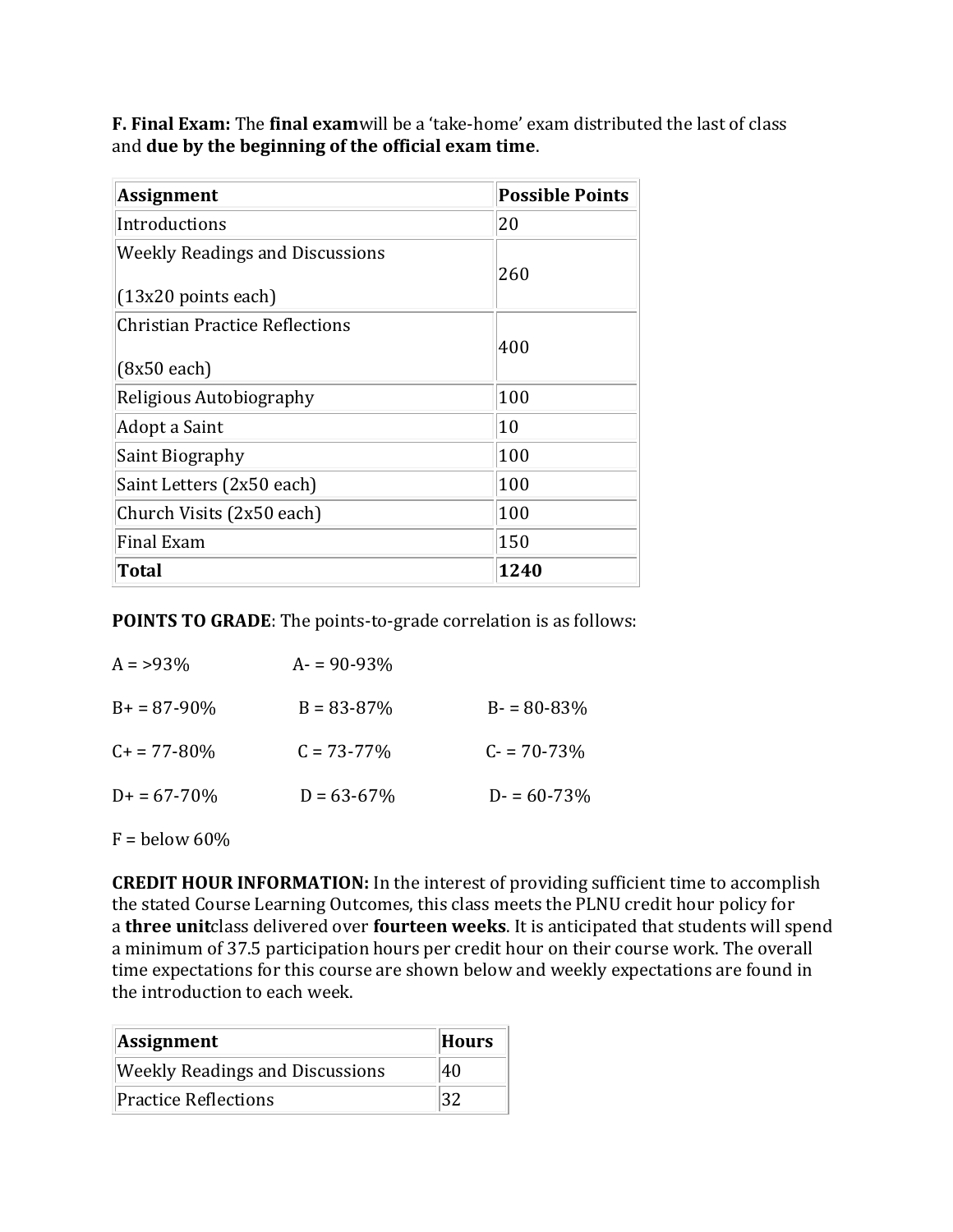**F. Final Exam:** The **final exam**will be a 'take-home' exam distributed the last of class and **due by the beginning of the official exam time**.

| <b>Assignment</b>                      | <b>Possible Points</b> |
|----------------------------------------|------------------------|
| Introductions                          | 20                     |
| <b>Weekly Readings and Discussions</b> | 260                    |
| $(13x20$ points each)                  |                        |
| <b>Christian Practice Reflections</b>  |                        |
| $(8x50$ each)                          | 400                    |
| Religious Autobiography                | 100                    |
| Adopt a Saint                          | 10                     |
| Saint Biography                        | 100                    |
| Saint Letters (2x50 each)              | 100                    |
| Church Visits (2x50 each)              | 100                    |
| Final Exam                             | 150                    |
| Total                                  | 1240                   |

**POINTS TO GRADE**: The points-to-grade correlation is as follows:

| $A = 93\%$       | $A = 90 - 93\%$ |                 |
|------------------|-----------------|-----------------|
| $B+ = 87-90\%$   | $B = 83 - 87\%$ | $B - 80 - 83\%$ |
| $C_{+}$ = 77-80% | $C = 73 - 77\%$ | $C = 70 - 73%$  |
| $D+ = 67-70%$    | $D = 63 - 67\%$ | $D = 60 - 73\%$ |
|                  |                 |                 |

 $F =$  below 60%

**CREDIT HOUR INFORMATION:** In the interest of providing sufficient time to accomplish the stated Course Learning Outcomes, this class meets the PLNU credit hour policy for a **three unit**class delivered over **fourteen weeks**. It is anticipated that students will spend a minimum of 37.5 participation hours per credit hour on their course work. The overall time expectations for this course are shown below and weekly expectations are found in the introduction to each week.

| Assignment                             | <b>Hours</b> |
|----------------------------------------|--------------|
| <b>Weekly Readings and Discussions</b> | 40           |
| Practice Reflections                   | 132          |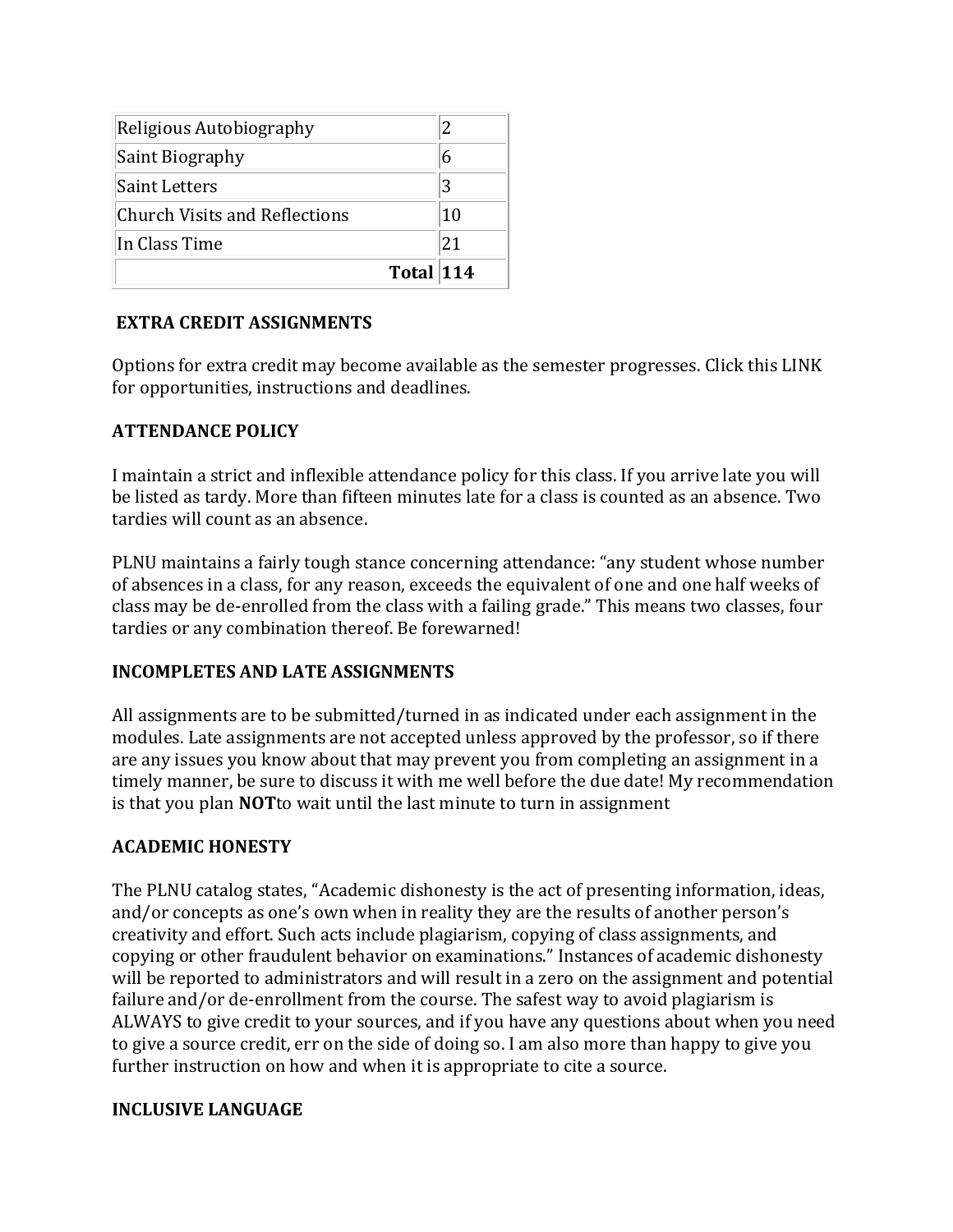| Total 114                            |    |
|--------------------------------------|----|
| In Class Time                        | 21 |
| <b>Church Visits and Reflections</b> | 10 |
| <b>Saint Letters</b>                 | 3  |
| Saint Biography                      |    |
| Religious Autobiography              |    |

# **EXTRA CREDIT ASSIGNMENTS**

Options for extra credit may become available as the semester progresses. Click this LINK for opportunities, instructions and deadlines.

## **ATTENDANCE POLICY**

I maintain a strict and inflexible attendance policy for this class. If you arrive late you will be listed as tardy. More than fifteen minutes late for a class is counted as an absence. Two tardies will count as an absence.

PLNU maintains a fairly tough stance concerning attendance: "any student whose number of absences in a class, for any reason, exceeds the equivalent of one and one half weeks of class may be de-enrolled from the class with a failing grade." This means two classes, four tardies or any combination thereof. Be forewarned!

#### **INCOMPLETES AND LATE ASSIGNMENTS**

All assignments are to be submitted/turned in as indicated under each assignment in the modules. Late assignments are not accepted unless approved by the professor, so if there are any issues you know about that may prevent you from completing an assignment in a timely manner, be sure to discuss it with me well before the due date! My recommendation is that you plan **NOT**to wait until the last minute to turn in assignment

# **ACADEMIC HONESTY**

The PLNU catalog states, "Academic dishonesty is the act of presenting information, ideas, and/or concepts as one's own when in reality they are the results of another person's creativity and effort. Such acts include plagiarism, copying of class assignments, and copying or other fraudulent behavior on examinations." Instances of academic dishonesty will be reported to administrators and will result in a zero on the assignment and potential failure and/or de-enrollment from the course. The safest way to avoid plagiarism is ALWAYS to give credit to your sources, and if you have any questions about when you need to give a source credit, err on the side of doing so. I am also more than happy to give you further instruction on how and when it is appropriate to cite a source.

#### **INCLUSIVE LANGUAGE**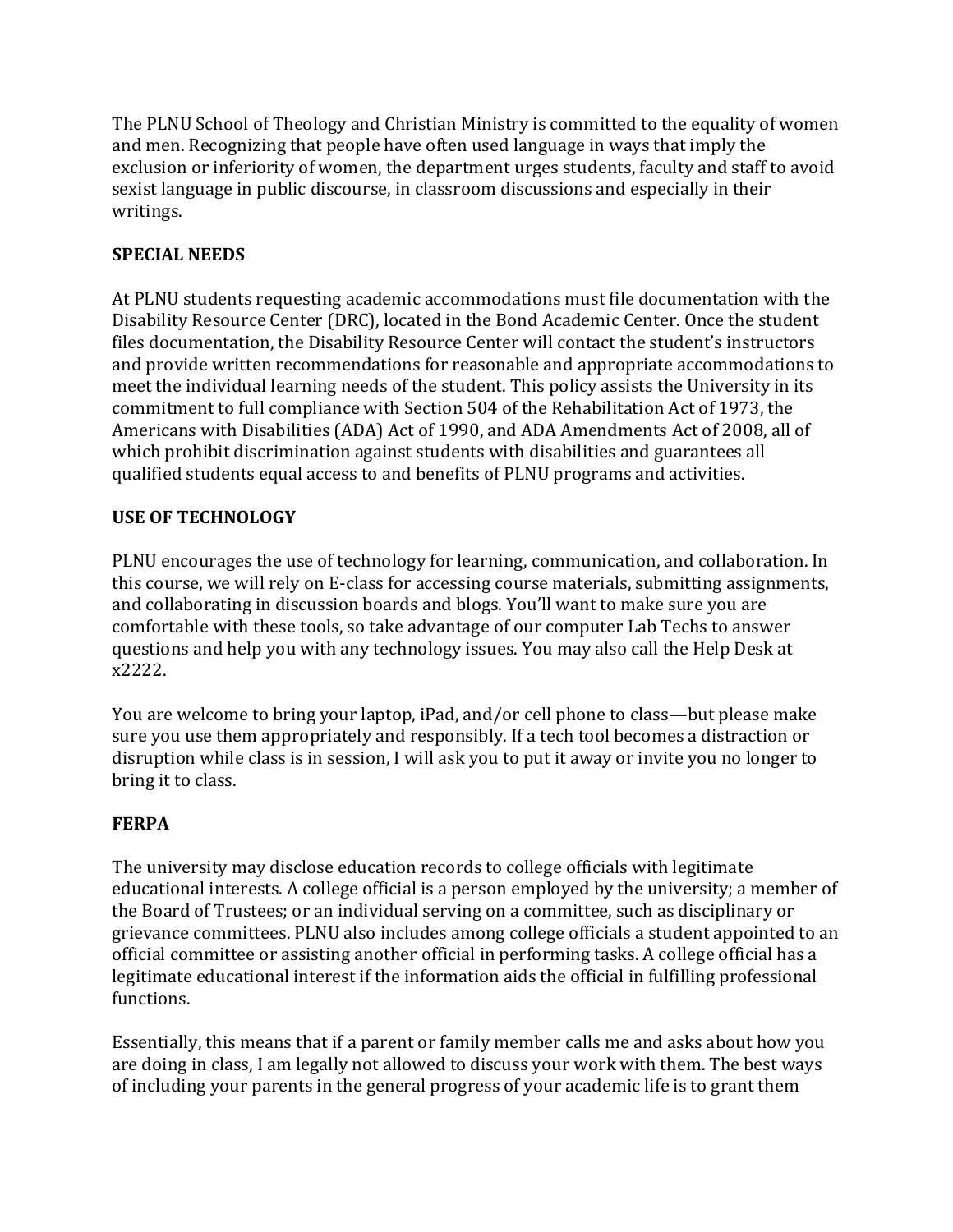The PLNU School of Theology and Christian Ministry is committed to the equality of women and men. Recognizing that people have often used language in ways that imply the exclusion or inferiority of women, the department urges students, faculty and staff to avoid sexist language in public discourse, in classroom discussions and especially in their writings.

# **SPECIAL NEEDS**

At PLNU students requesting academic accommodations must file documentation with the Disability Resource Center (DRC), located in the Bond Academic Center. Once the student files documentation, the Disability Resource Center will contact the student's instructors and provide written recommendations for reasonable and appropriate accommodations to meet the individual learning needs of the student. This policy assists the University in its commitment to full compliance with Section 504 of the Rehabilitation Act of 1973, the Americans with Disabilities (ADA) Act of 1990, and ADA Amendments Act of 2008, all of which prohibit discrimination against students with disabilities and guarantees all qualified students equal access to and benefits of PLNU programs and activities.

# **USE OF TECHNOLOGY**

PLNU encourages the use of technology for learning, communication, and collaboration. In this course, we will rely on E-class for accessing course materials, submitting assignments, and collaborating in discussion boards and blogs. You'll want to make sure you are comfortable with these tools, so take advantage of our computer Lab Techs to answer questions and help you with any technology issues. You may also call the Help Desk at x2222.

You are welcome to bring your laptop, iPad, and/or cell phone to class—but please make sure you use them appropriately and responsibly. If a tech tool becomes a distraction or disruption while class is in session, I will ask you to put it away or invite you no longer to bring it to class.

# **FERPA**

The university may disclose education records to college officials with legitimate educational interests. A college official is a person employed by the university; a member of the Board of Trustees; or an individual serving on a committee, such as disciplinary or grievance committees. PLNU also includes among college officials a student appointed to an official committee or assisting another official in performing tasks. A college official has a legitimate educational interest if the information aids the official in fulfilling professional functions.

Essentially, this means that if a parent or family member calls me and asks about how you are doing in class, I am legally not allowed to discuss your work with them. The best ways of including your parents in the general progress of your academic life is to grant them